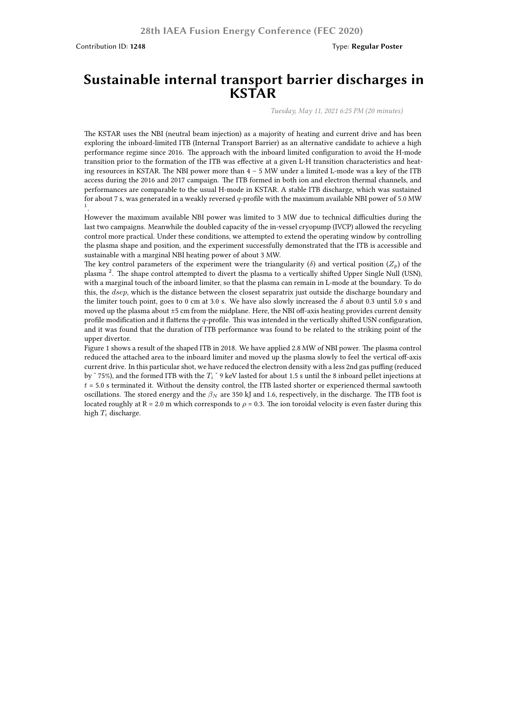Contribution ID: **1248** Type: **Regular Poster**

## **Sustainable internal transport barrier discharges in KSTAR**

*Tuesday, May 11, 2021 6:25 PM (20 minutes)*

The KSTAR uses the NBI (neutral beam injection) as a majority of heating and current drive and has been exploring the inboard-limited ITB (Internal Transport Barrier) as an alternative candidate to achieve a high performance regime since 2016. The approach with the inboard limited configuration to avoid the H-mode transition prior to the formation of the ITB was effective at a given L-H transition characteristics and heating resources in KSTAR. The NBI power more than 4 – 5 MW under a limited L-mode was a key of the ITB access during the 2016 and 2017 campaign. The ITB formed in both ion and electron thermal channels, and performances are comparable to the usual H-mode in KSTAR. A stable ITB discharge, which was sustained for about 7 s, was generated in a weakly reversed *q*-profile with the maximum available NBI power of 5.0 MW 1 .

However the maximum available NBI power was limited to 3 MW due to technical difficulties during the last two campaigns. Meanwhile the doubled capacity of the in-vessel cryopump (IVCP) allowed the recycling control more practical. Under these conditions, we attempted to extend the operating window by controlling the plasma shape and position, and the experiment successfully demonstrated that the ITB is accessible and sustainable with a marginal NBI heating power of about 3 MW.

The key control parameters of the experiment were the triangularity ( $\delta$ ) and vertical position ( $Z_p$ ) of the plasma <sup>2</sup>. The shape control attempted to divert the plasma to a vertically shifted Upper Single Null (USN), with a marginal touch of the inboard limiter, so that the plasma can remain in L-mode at the boundary. To do this, the *dsep*, which is the distance between the closest separatrix just outside the discharge boundary and the limiter touch point, goes to 0 cm at 3.0 s. We have also slowly increased the *δ* about 0.3 until 5.0 s and moved up the plasma about ±5 cm from the midplane. Here, the NBI off-axis heating provides current density profile modification and it flattens the *q*-profile. This was intended in the vertically shifted USN configuration, and it was found that the duration of ITB performance was found to be related to the striking point of the upper divertor.

Figure 1 shows a result of the shaped ITB in 2018. We have applied 2.8 MW of NBI power. The plasma control reduced the attached area to the inboard limiter and moved up the plasma slowly to feel the vertical off-axis current drive. In this particular shot, we have reduced the electron density with a less 2nd gas puffing (reduced by  $\degree$  75%), and the formed ITB with the  $T_i \degree$  9 keV lasted for about 1.5 s until the 8 inboard pellet injections at *t* = 5.0 s terminated it. Without the density control, the ITB lasted shorter or experienced thermal sawtooth oscillations. The stored energy and the *β<sup>N</sup>* are 350 kJ and 1.6, respectively, in the discharge. The ITB foot is located roughly at  $R = 2.0$  m which corresponds to  $\rho = 0.3$ . The ion toroidal velocity is even faster during this high *T<sup>i</sup>* discharge.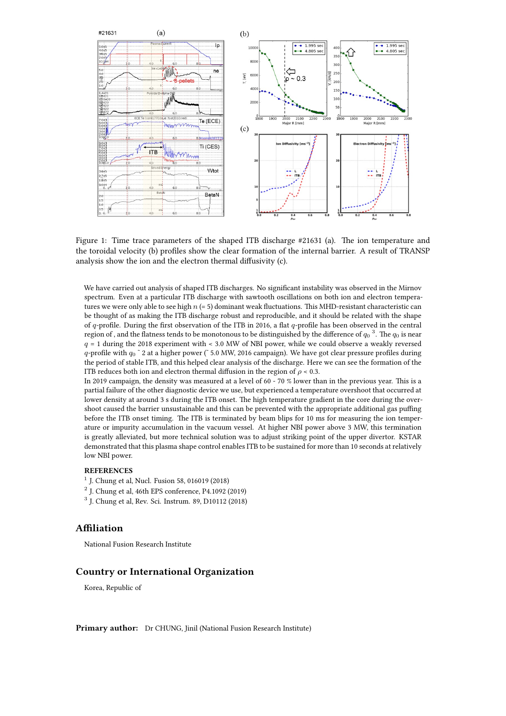

Figure 1: Time trace parameters of the shaped ITB discharge #21631 (a). The ion temperature and the toroidal velocity (b) profiles show the clear formation of the internal barrier. A result of TRANSP analysis show the ion and the electron thermal diffusivity (c).

We have carried out analysis of shaped ITB discharges. No significant instability was observed in the Mirnov spectrum. Even at a particular ITB discharge with sawtooth oscillations on both ion and electron temperatures we were only able to see high *n* (= 5) dominant weak fluctuations. This MHD-resistant characteristic can be thought of as making the ITB discharge robust and reproducible, and it should be related with the shape of *q*-profile. During the first observation of the ITB in 2016, a flat *q*-profile has been observed in the central region of , and the flatness tends to be monotonous to be distinguished by the difference of  $q_0$   $^3.$  The  $q_0$  is near *q* = 1 during the 2018 experiment with < 3.0 MW of NBI power, while we could observe a weakly reversed *q*-profile with  $q_0$   $\degree$  2 at a higher power ( $\degree$  5.0 MW, 2016 campaign). We have got clear pressure profiles during the period of stable ITB, and this helped clear analysis of the discharge. Here we can see the formation of the ITB reduces both ion and electron thermal diffusion in the region of  $\rho$  < 0.3.

In 2019 campaign, the density was measured at a level of 60 - 70 % lower than in the previous year. This is a partial failure of the other diagnostic device we use, but experienced a temperature overshoot that occurred at lower density at around 3 s during the ITB onset. The high temperature gradient in the core during the overshoot caused the barrier unsustainable and this can be prevented with the appropriate additional gas puffing before the ITB onset timing. The ITB is terminated by beam blips for 10 ms for measuring the ion temperature or impurity accumulation in the vacuum vessel. At higher NBI power above 3 MW, this termination is greatly alleviated, but more technical solution was to adjust striking point of the upper divertor. KSTAR demonstrated that this plasma shape control enables ITB to be sustained for more than 10 seconds at relatively low NBI power.

## **REFERENCES**

- 1 J. Chung et al, Nucl. Fusion 58, 016019 (2018)
- 2 J. Chung et al, 46th EPS conference, P4.1092 (2019)
- 3 J. Chung et al, Rev. Sci. Instrum. 89, D10112 (2018)

## **Affiliation**

National Fusion Research Institute

## **Country or International Organization**

Korea, Republic of

**Primary author:** Dr CHUNG, Jinil (National Fusion Research Institute)